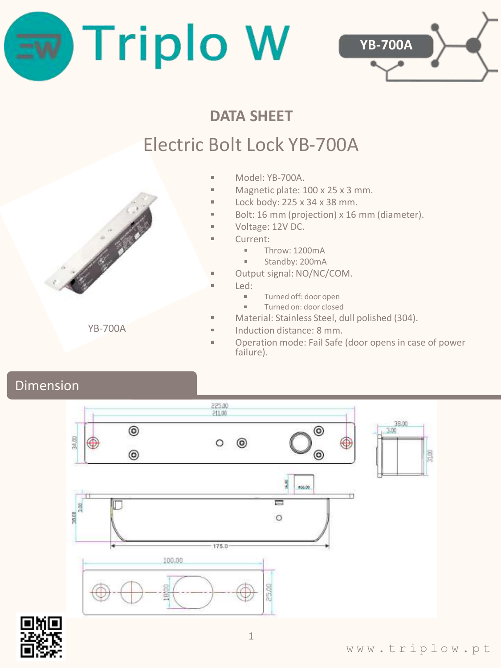



## **DATA SHEET**

# Electric Bolt Lock YB-700A

- Model: YB-700A.
- $\blacksquare$ Magnetic plate: 100 x 25 x 3 mm.
- Lock body: 225 x 34 x 38 mm.  $\blacksquare$
- Bolt: 16 mm (projection) x 16 mm (diameter).
- $\blacksquare$ Voltage: 12V DC.
- Current:
	- $\blacksquare$ Throw: 1200mA
	- Standby: 200mA  $\blacksquare$
- $\mathbf{r}$ Output signal: NO/NC/COM.
- Led:

 $\mathbf{r}$ 

 $\mathbf{r}$ 

- Turned off: door open
- Turned on: door closed
- Material: Stainless Steel, dull polished (304).
- Induction distance: 8 mm.
- Operation mode: Fail Safe (door opens in case of power failure).

### Dimension





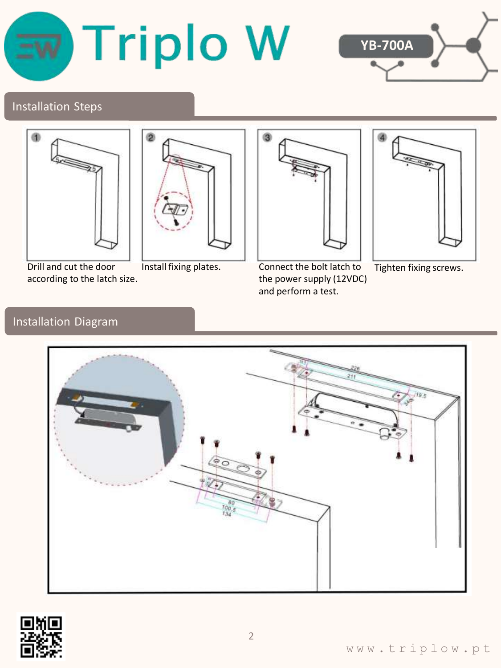



#### Installation Steps





Drill and cut the door according to the latch size.



Install fixing plates. Connect the bolt latch to the power supply (12VDC) and perform a test.



Tighten fixing screws.

#### Installation Diagram



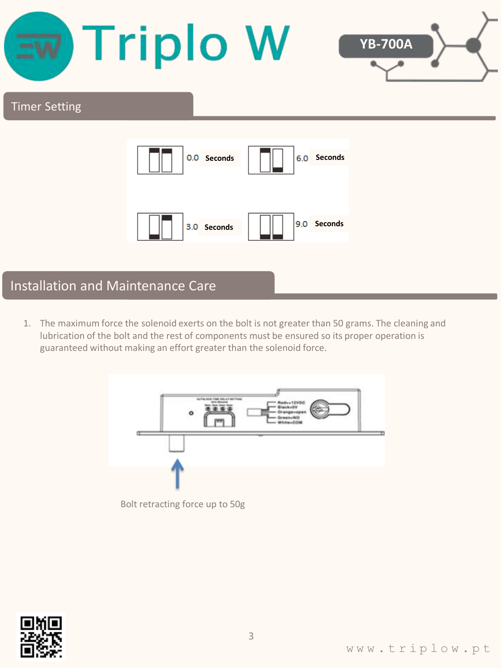

1. The maximum force the solenoid exerts on the bolt is not greater than 50 grams. The cleaning and lubrication of the bolt and the rest of components must be ensured so its proper operation is guaranteed without making an effort greater than the solenoid force.



Bolt retracting force up to 50g

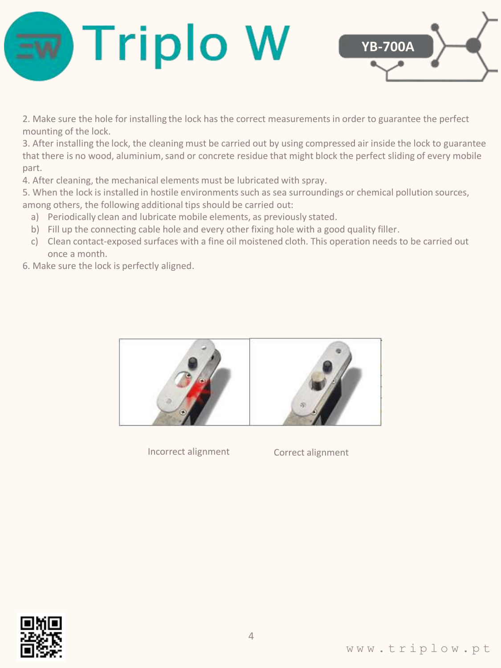



2. Make sure the hole for installing the lock has the correct measurements in order to guarantee the perfect mounting of the lock.

3. After installing the lock, the cleaning must be carried out by using compressed air inside the lock to guarantee that there is no wood, aluminium, sand or concrete residue that might block the perfect sliding of every mobile part.

4. After cleaning, the mechanical elements must be lubricated with spray.

5. When the lock is installed in hostile environments such as sea surroundings or chemical pollution sources, among others, the following additional tips should be carried out:

- a) Periodically clean and lubricate mobile elements, as previously stated.
- b) Fill up the connecting cable hole and every other fixing hole with a good quality filler.
- c) Clean contact-exposed surfaces with a fine oil moistened cloth. This operation needs to be carried out once a month.
- 6. Make sure the lock is perfectly aligned.



Incorrect alignment Correct alignment